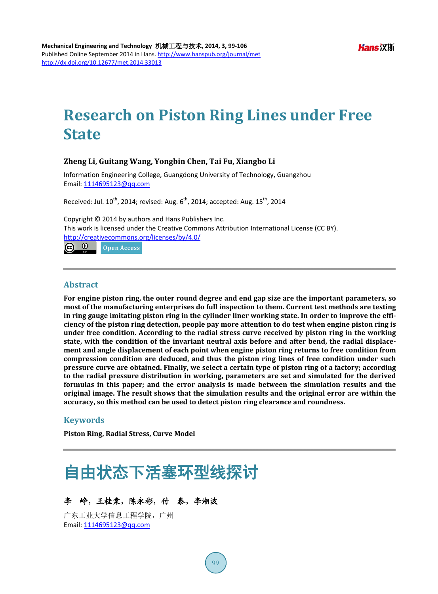# **Research on Piston Ring Lines under Free State**

## **Zheng Li, Guitang Wang, Yongbin Chen, Tai Fu, Xiangbo Li**

Information Engineering College, Guangdong University of Technology, Guangzhou Email: [1114695123@qq.com](mailto:1114695123@qq.com)

Received: Jul.  $10^{th}$ , 2014; revised: Aug.  $6^{th}$ , 2014; accepted: Aug.  $15^{th}$ , 2014

Copyright © 2014 by authors and Hans Publishers Inc. This work is licensed under the Creative Commons Attribution International License (CC BY). <http://creativecommons.org/licenses/by/4.0/><br> **C** 0 0 0pen Access

Open Access

#### **Abstract**

**For engine piston ring, the outer round degree and end gap size are the important parameters, so most of the manufacturing enterprises do full inspection to them. Current test methods are testing in ring gauge imitating piston ring in the cylinder liner working state. In order to improve the efficiency of the piston ring detection, people pay more attention to do test when engine piston ring is under free condition. According to the radial stress curve received by piston ring in the working state, with the condition of the invariant neutral axis before and after bend, the radial displacement and angle displacement of each point when engine piston ring returns to free condition from compression condition are deduced, and thus the piston ring lines of free condition under such pressure curve are obtained. Finally, we select a certain type of piston ring of a factory; according to the radial pressure distribution in working, parameters are set and simulated for the derived formulas in this paper; and the error analysis is made between the simulation results and the original image. The result shows that the simulation results and the original error are within the accuracy, so this method can be used to detect piston ring clearance and roundness.**

## **Keywords**

**Piston Ring, Radial Stress, Curve Model**

# 自由状态下活塞环型线探讨

## 李峥,王桂棠,陈永彬,付泰,李湘波

广东工业大学信息工程学院,广州 Email: [1114695123@qq.com](mailto:1114695123@qq.com)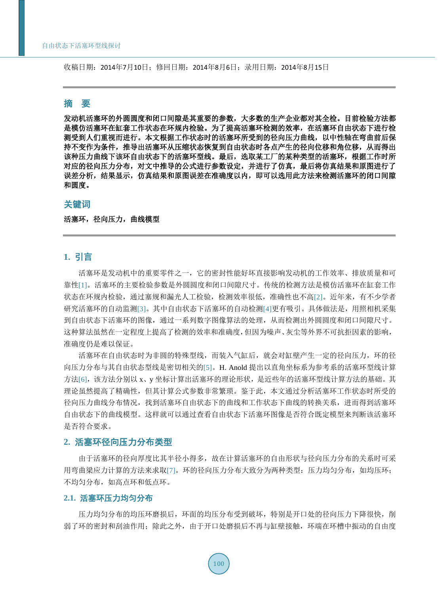收稿日期:2014年7月10日;修回日期:2014年8月6日;录用日期:2014年8月15日

## 摘 要

发动机活塞环的外圆圆度和闭口间隙是其重要的参数,大多数的生产企业都对其全检。目前检验方法都 是模仿活塞环在缸套工作状态在环规内检验。为了提高活塞环检测的效率,在活塞环自由状态下进行检 测受到人们重视而进行。本文根据工作状态时的活塞环所受到的径向压力曲线,以中性轴在弯曲前后保 持不变作为条件,推导出活塞环从压缩状态恢复到自由状态时各点产生的径向位移和角位移,从而得出 该种压力曲线下该环自由状态下的活塞环型线。最后,选取某工厂的某种类型的活塞环,根据工作时所 对应的径向压力分布,对文中推导的公式进行参数设定,并进行了仿真,最后将仿真结果和原图进行了 误差分析,结果显示,仿真结果和原图误差在准确度以内,即可以选用此方法来检测活塞环的闭口间隙 和圆度。

## 关键词

## 活塞环,径向压力,曲线模型

## **1.** 引言

活塞环是发动机中的重要零件之一,它的密封性能好坏直接影响发动机的工作效率、排放质量和可 靠性[\[1\]](#page-7-0)。活塞环的主要检验参数是外圆圆度和闭口间隙尺寸。传统的检测方法是模仿活塞环在缸套工作 状态在环规内检验,通过塞规和漏光人工检验,检测效率很低,准确性也不高[\[2\]](#page-7-1)。近年来,有不少学者 研究活塞环的自动监测[\[3\]](#page-7-2)。其中自由状态下活塞环的自动检测[\[4\]](#page-7-3)更有吸引。具体做法是,用照相机采集 到自由状态下活塞环的图像,通过一系列数字图像算法的处理,从而检测出外圆圆度和闭口间隙尺寸。 这种算法虽然在一定程度上提高了检测的效率和准确度,但因为噪声、灰尘等外界不可抗拒因素的影响, 准确度仍是难以保证。

活塞环在自由状态时为非圆的特殊型线,而装入气缸后,就会对缸壁产生一定的径向压力,环的径 向压力分布与其自由状态型线是密切相关的[\[5\]](#page-7-4)。H. Anold 提出以直角坐标系为参考系的活塞环型线计算 方法[\[6\]](#page-7-5),该方法分别以 x、y 坐标计算出活塞环的理论形状,是近些年的活塞环型线计算方法的基础。其 理论虽然提高了精确性,但其计算公式参数非常繁琐。鉴于此,本文通过分析活塞环工作状态时所受的 径向压力曲线分布情况,找到活塞环自由状态下的曲线和工作状态下曲线的转换关系,进而得到活塞环 自由状态下的曲线模型。这样就可以通过查看自由状态下活塞环图像是否符合既定模型来判断该活塞环 是否符合要求。

## **2.** 活塞环径向压力分布类型

由于活塞环的径向厚度比其半径小得多,故在计算活塞环的自由形状与径向压力分布的关系时可采 用弯曲梁应力计算的方法来求取[\[7\]](#page-7-6)。环的径向压力分布大致分为两种类型:压力均匀分布,如均压环; 不均匀分布,如高点环和低点环。

## **2.1.** 活塞环压力均匀分布

压力均匀分布的均压环磨损后,环面的均压分布受到破坏,特别是开口处的径向压力下降很快,削 弱了环的密封和刮油作用;除此之外,由于开口处磨损后不再与缸壁接触,环端在环槽中振动的自由度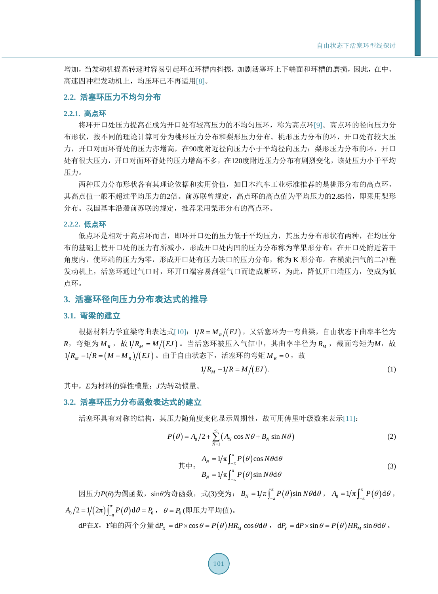增加,当发动机提高转速时容易引起环在环槽内抖振,加剧活塞环上下端面和环槽的磨损,因此,在中、 高速四冲程发动机上,均压环已不再适用[\[8\]](#page-7-7)。

### **2.2.** 活塞环压力不均匀分布

#### **2.2.1.** 高点环

将环开口处压力提高在成为开口处有较高压力的不均匀压环,称为高点环[\[9\]](#page-7-8)。高点环的径向压力分 布形状,按不同的理论计算可分为桃形压力分布和梨形压力分布。桃形压力分布的环,开口处有较大压 力,开口对面环脊处的压力亦增高,在90度附近径向压力小于平均径向压力;梨形压力分布的环,开口 处有很大压力,开口对面环脊处的压力增高不多,在120度附近压力分布有剧烈变化,该处压力小于平均 压力。

两种压力分布形状各有其理论依据和实用价值,如日本汽车工业标准推荐的是桃形分布的高点环, 其高点值一般不超过平均压力的2倍。前苏联曾规定,高点环的高点值为平均压力的2.85倍,即采用梨形 分布。我国基本沿袭前苏联的规定,推荐采用梨形分布的高点环。

#### **2.2.2.** 低点环

低点环是相对于高点环而言,即环开口处的压力低于平均压力,其压力分布形状有两种,在均压分 布的基础上使开口处的压力有所减小,形成开口处内凹的压力分布称为苹果形分布;在开口处附近若干 角度内,使环端的压力为零,形成开口处有压力缺口的压力分布,称为 K 形分布。在横流扫气的二冲程 发动机上,活塞环通过气口时,环开口端容易刮碰气口而造成断环,为此,降低开口端压力,使成为低 点环。

## **3.** 活塞环径向压力分布表达式的推导

## **3.1.** 弯梁的建立

根据材料力学直梁弯曲表达式[\[10\]](#page-7-9): 1/R = M<sub>R</sub> /(EJ), 又活塞环为一弯曲梁, 自由状态下曲率半径为  $R$ , 弯矩为 $M_R$ , 故1/ $R_M = M/(EJ)$ 。当活塞环被压入气缸中, 其曲率半径为 $R_M$ , 截面弯矩为 $M$ , 故 1/R<sub>M</sub> -1/R = (M - M<sub>R</sub>)/(EJ)。由于自由状态下,活塞环的弯矩 M<sub>R</sub> = 0,故

$$
1/R_M - 1/R = M/(EJ). \tag{1}
$$

其中,*E*为材料的弹性模量;*J*为转动惯量。

#### **3.2.** 活塞环压力分布函数表达式的建立

活塞环具有对称的结构,其压力随角度变化显示周期性,故可用傅里叶级数来表示[\[11\]](#page-7-10):

$$
P(\theta) = A_0/2 + \sum_{N=1}^{\infty} \left( A_N \cos N\theta + B_N \sin N\theta \right)
$$
 (2)

$$
\ddot{\mathbb{R}} + \mathbf{H} \cdot \frac{A_N}{B_N} = 1/\pi \int_{-\pi}^{\pi} P(\theta) \cos N\theta \, d\theta
$$
\n
$$
B_N = 1/\pi \int_{-\pi}^{\pi} P(\theta) \sin N\theta \, d\theta \tag{3}
$$

因压力*P*(θ)为偶函数,sinθ为奇函数,式(3)变为:  $B_N = 1/\pi \int_{-\pi}^{\pi} P(\theta) \sin N\theta \mathrm{d}\theta$ ,A<sub>0</sub> = 1/π $\int_{-\pi}^{\pi} P(\theta) \mathrm{d}\theta$ ,  $A_0/2 = 1/(2\pi)\int_{-\pi}^{\pi} P(\theta) d\theta = P_0$ ,  $\theta = P_0$ (即压力平均值)。

 $dP \pm X$ ,  $Y \pm \theta \bar{p} \pm \theta P_x = dP \times \cos \theta = P(\theta) H R_x \cos \theta d\theta$ ,  $dP_x = dP \times \sin \theta = P(\theta) H R_y \sin \theta d\theta$ .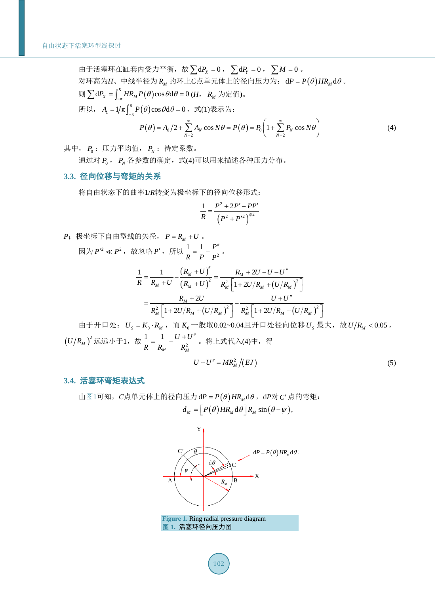由于活塞环在缸套内受力平衡,故 $\sum dP_x = 0$ ,  $\sum dP_y = 0$ ,  $\sum M = 0$ . 对环高为*H*、中线半径为  $R_M$  的环上*C*点单元体上的径向压力为: dP =  $P(\theta)$  *HR*<sub>M</sub> dθ。  $\text{M} \sum dP_x = \int_{-\pi}^K HR_M P(\theta) \cos \theta d\theta = 0$  (*H*,  $R_M \nrightarrow \infty$  (*E*). 所以,  $A_{\text{l}} = 1/\pi \int_{-\pi}^{\pi} P(\theta) \cos \theta \, d\theta = 0$ ,式(1)表示为:

$$
P(\theta) = A_0/2 + \sum_{N=2}^{\infty} A_N \cos N\theta = P(\theta) = P_0 \left( 1 + \sum_{N=2}^{\infty} P_N \cos N\theta \right)
$$
(4)

其中,  $P_0$ : 压力平均值,  $P_N$ : 待定系数。

通过对  $P_0$ ,  $P_N$  各参数的确定, 式(4)可以用来描述各种压力分布。

## **3.3.** 径向位移与弯矩的关系

将自由状态下的曲率1/*R*转变为极坐标下的径向位移形式:

$$
\frac{1}{R} = \frac{P^2 + 2P' - PP'}{\left(P^2 + P'^2\right)^{3/2}}
$$

 $P$ : 极坐标下自由型线的矢径,  $P = R<sub>M</sub> + U$ 。 因为  $P^{\prime 2} \ll P^2$  , 故忽略  $P^{\prime}$  , 所以  $\frac{1}{R} = \frac{1}{P} - \frac{P^{\prime}}{P^2}$ *R P P*  $=\frac{1}{R} - \frac{P''}{R^2}$ .

$$
\frac{1}{R} = \frac{1}{R_M + U} - \frac{(R_M + U)^{''}}{(R_M + U)^{2}} = \frac{R_M + 2U - U - U^{''}}{R_M^{2} \left[1 + 2U/R_M + (U/R_M)^{2}\right]}
$$

$$
= \frac{R_M + 2U}{R_M^{2} \left[1 + 2U/R_M + (U/R_M)^{2}\right]} - \frac{U + U^{''}}{R_M^{2} \left[1 + 2U/R_M + (U/R_M)^{2}\right]}
$$

由于开口处:  $U_s = K_0 \cdot R_M$ , 而 $K_0$ 一般取0.02~0.04且开口处径向位移 $U_s$ 最大, 故 $U/R_M < 0.05$ ,  $(U/R_{_M})^2$ 远远小于1,故 $\frac{1}{R} = \frac{1}{R} - \frac{U + E}{R^2}$ *M M*  $U+U$ *R R R*  $=\frac{1}{R} - \frac{U+U''}{R^2}$ 。将上式代入(4)中,得

$$
U + U'' = MR_M^2 / (EJ) \tag{5}
$$

## **3.4.** 活塞环弯矩表达式

<span id="page-3-0"></span>[由图](#page-3-0)1可知,  $C$ 点单元体上的径向压力 d  $P = P(\theta) H R_M d\theta$ , d  $P \times C'$  点的弯矩:  $d_M = \left[ P(\theta) H R_M \, d\theta \right] R_M \sin(\theta - \psi),$ 

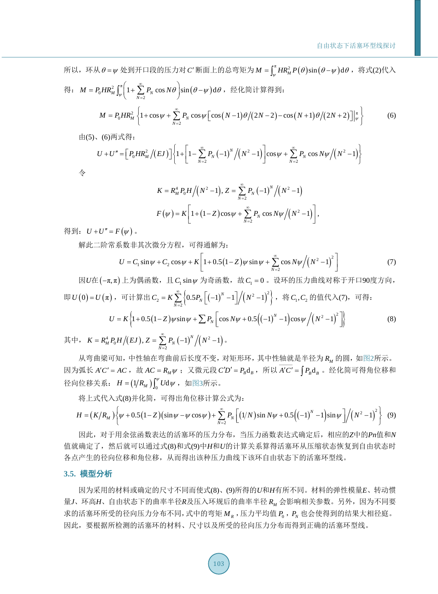所以,环从 $\theta = \psi$ 处到开口段的压力对*C*'断面上的总弯矩为  $M = \int_{a}^{\pi} H R_M^2 P(\theta) \sin(\theta - \psi) d\theta$ , 将式(2)代入 得:  $M = P_0 H R_M^2 \int_{\psi}^{\pi} \left( 1 + \sum_{N=2}^{\infty} P_N \cos N\theta \right) \sin \left( \theta - \psi \right) d\theta$ , 经化简计算得到:  $(M = P_0 H R_M^2 \left\{ 1 + \cos \psi + \sum_{i=1}^{\infty} P_N \cos \psi \left[ \cos (N-1) \theta / (2N-2) - \cos (N+1) \theta / (2N+2) \right] \right\}$ 2 *N* =  $P_0 H R_M^2 \left\{ 1 + \cos \psi + \sum_{N=2}^{\infty} P_N \cos \psi \left[ \cos (N-1) \theta / (2N-2) - \cos (N+1) \theta / (2N+2) \right] \right\}^{\pi}_{\psi} \right\}$  (6)

由(5)、(6)两式得:

$$
U + U'' = \Big[ P_0 H R_M^2 / (E J) \Big] \Big\{ 1 + \Bigg[ 1 - \sum_{N=2}^{\infty} P_N \left( -1 \right)^N / \left( N^2 - 1 \right) \Bigg] \cos \psi + \sum_{N=2}^{\infty} P_N \cos N \psi / \left( N^2 - 1 \right) \Bigg\}
$$

令

$$
K = R_M^4 P_0 H / (N^2 - 1), Z = \sum_{N=2}^{\infty} P_N (-1)^N / (N^2 - 1)
$$
  

$$
F(\psi) = K \left[ 1 + (1 - Z) \cos \psi + \sum_{N=2}^{\infty} P_N \cos N\psi / (N^2 - 1) \right],
$$

得到:  $U + U'' = F(\psi)$ .

解此二阶常系数非其次微分方程,可得通解为:

$$
U = C_1 \sin \psi + C_2 \cos \psi + K \left[ 1 + 0.5 (1 - Z) \psi \sin \psi + \sum_{N=2}^{\infty} \cos N \psi / (N^2 - 1)^2 \right]
$$
(7)

因*U*在(-π,π) 上为偶函数, 且 C<sub>1</sub> sin  $\psi$  为奇函数, 故 C<sub>1</sub> = 0 。设环的压力曲线对称于开口90度方向, 即 $U(0) = U(\pi)$ ,可计算出 $C_2 = K \sum_{N=2}^{\infty} \left\{ 0.5 P_N \left[ (-1)^N - 1 \right] \middle/ (N^2 - 1)^2 \right\},\;$  将 $C_1, C_2$  的值代入(7), 可得:

$$
U = K \left\{ 1 + 0.5 \left( 1 - Z \right) \psi \sin \psi + \sum P_N \left[ \cos N\psi + 0.5 \left( \left( -1 \right)^N - 1 \right) \cos \psi \left/ \left( N^2 - 1 \right)^2 \right] \right\} \right\}
$$
(8)

其中,  $K = R_M^4 P_0 H \big/ (EJ)$ ,  $Z = \sum_{N}^{\infty} P_N (\bigg. -1 \bigg)^N \bigg/ (N^2 - 1 \bigg)$ 。 2 *N* =

从弯曲梁可知,中性轴在弯曲前后长度不变,对矩形环,其中性轴就是半径为  $R_{\text{M}}$  的圆, [如图](#page-5-0)2所示。 因为弧长 *A'C'* = *AC* ,故 *AC* =  $R_M\psi$  ; 又微元段 *C'D'* =  $P_B$ d<sub>*B*</sub> ,所以 *A'C'* =  $\int P_B$ d<sub>*B*</sub> 。经化简可得角位移和 径向位移关系:  $H = (1/R_{_M}) \int_0^{\psi} U \mathrm{d}\psi$ ,[如图](#page-5-1)3所示。

将上式代入式(8)并化简,可得出角位移计算公式为:

$$
H = (K/R_M)\bigg\{\psi + 0.5(1-Z)(\sin\psi - \psi\cos\psi) + \sum_{N=2}^{\infty} P_N\bigg[(1/N)\sin N\psi + 0.5((-1)^N - 1)\sin\psi\bigg]/(N^2 - 1)^2\bigg\} \quad (9)
$$

因此,对于用余弦函数表达的活塞环的压力分布,当压力函数表达式确定后,相应的*Z*中的*Pn*值和*N* 值就确定了,然后就可以通过式(8)和式(9)中*H*和*U*的计算关系算得活塞环从压缩状态恢复到自由状态时 各点产生的径向位移和角位移,从而得出该种压力曲线下该环自由状态下的活塞环型线。

### **3.5.** 模型分析

因为采用的材料或确定的尺寸不同而使式(8)、(9)所得的*U*和*H*有所不同。材料的弹性模量*E*、转动惯 量J、环高H、自由状态下的曲率半径R及压入环规后的曲率半径 R<sub>M</sub> 会影响相关参数。另外,因为不同要 求的活塞环所受的径向压力分布不同,式中的弯矩  $M<sub>R</sub>$ , 压力平均值  $P<sub>0</sub>$ ,  $P<sub>N</sub>$  也会使得到的结果大相径庭。 因此,要根据所检测的活塞环的材料、尺寸以及所受的径向压力分布而得到正确的活塞环型线。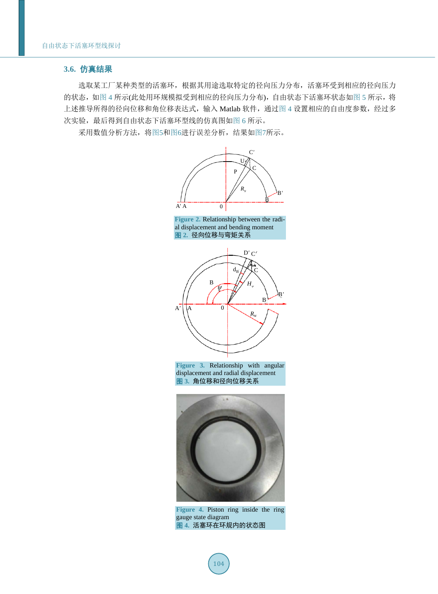## **3.6.** 仿真结果

选取某工厂某种类型的活塞环,根据其用途选取特定的径向压力分布,活塞环受到相应的径向压力 的状态,[如图](#page-6-0) 4 所示(此处用环规模拟受到相应的径向压力分布), 自由状态下活塞环状态如图 5 所示, 将 上述推导所得的径向位移和角位移表达式,输入 Matlab 软件,通[过图](#page-5-2) 4 设置相应的自由度参数, 经过多 次实验,最后得到自由状态下活塞环型线的仿真图[如图](#page-6-1) 6 所示。

<span id="page-5-1"></span><span id="page-5-0"></span>采用数值分析方法,[将图](#page-6-0)5[和图](#page-6-1)6进行误差分析,结果[如图](#page-6-2)7所示。







**Figure 3.** Relationship with angular displacement and radial displacement 图 **3.** 角位移和径向位移关系

<span id="page-5-2"></span>

**Figure 4.** Piston ring inside the ring gauge state diagram 图 **4.** 活塞环在环规内的状态图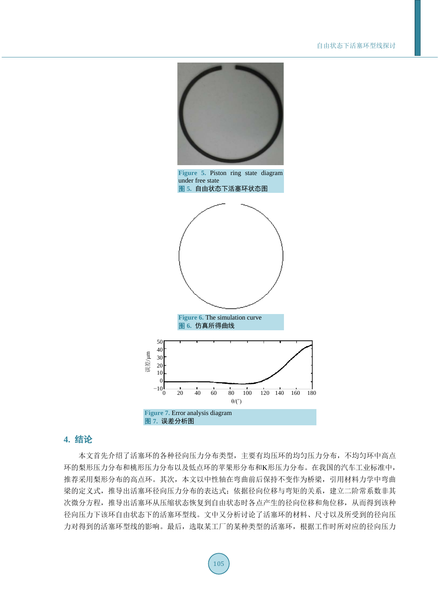<span id="page-6-1"></span><span id="page-6-0"></span>

## <span id="page-6-2"></span>**4.** 结论

本文首先介绍了活塞环的各种径向压力分布类型,主要有均压环的均匀压力分布,不均匀环中高点 环的梨形压力分布和桃形压力分布以及低点环的苹果形分布和K形压力分布。在我国的汽车工业标准中, 推荐采用梨形分布的高点环。其次,本文以中性轴在弯曲前后保持不变作为桥梁,引用材料力学中弯曲 梁的定义式,推导出活塞环径向压力分布的表达式;依据径向位移与弯矩的关系,建立二阶常系数非其 次微分方程,推导出活塞环从压缩状态恢复到自由状态时各点产生的径向位移和角位移,从而得到该种 径向压力下该环自由状态下的活塞环型线。文中又分析讨论了活塞环的材料、尺寸以及所受到的径向压 力对得到的活塞环型线的影响。最后,选取某工厂的某种类型的活塞环,根据工作时所对应的径向压力